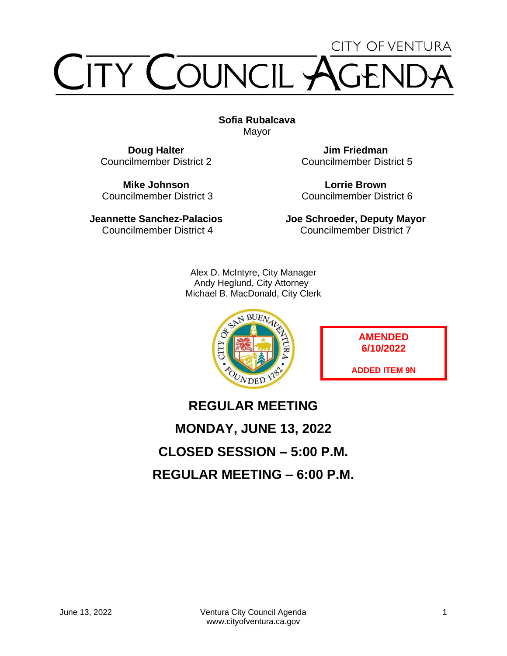# **CITY OF VENTURA** TY COUNCIL

**Sofia Rubalcava** Mayor

**Doug Halter** Councilmember District 2

**Mike Johnson** Councilmember District 3

**Jeannette Sanchez-Palacios** Councilmember District 4

**Jim Friedman** Councilmember District 5

**Lorrie Brown** Councilmember District 6

**Joe Schroeder, Deputy Mayor** Councilmember District 7

Alex D. McIntyre, City Manager Andy Heglund, City Attorney Michael B. MacDonald, City Clerk



**AMENDED 6/10/2022**

**ADDED ITEM 9N**

## **REGULAR MEETING MONDAY, JUNE 13, 2022 CLOSED SESSION – 5:00 P.M. REGULAR MEETING – 6:00 P.M.**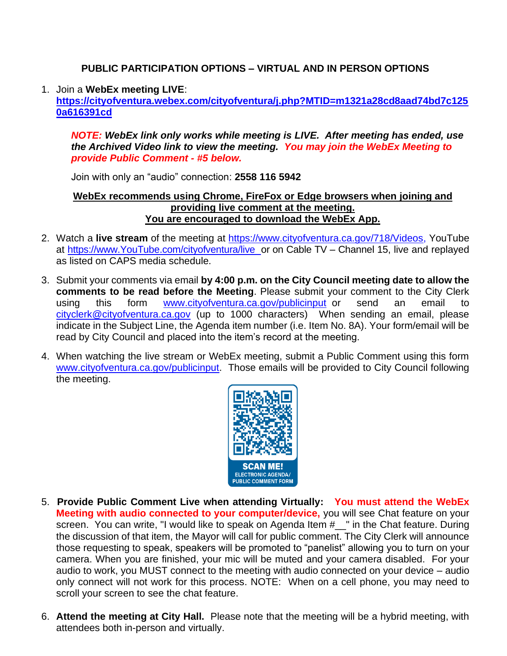#### **PUBLIC PARTICIPATION OPTIONS – VIRTUAL AND IN PERSON OPTIONS**

#### 1. Join a **WebEx meeting LIVE**:

**[https://cityofventura.webex.com/cityofventura/j.php?MTID=m1321a28cd8aad74bd7c125](https://cityofventura.webex.com/cityofventura/j.php?MTID=m1321a28cd8aad74bd7c1250a616391cd) [0a616391cd](https://cityofventura.webex.com/cityofventura/j.php?MTID=m1321a28cd8aad74bd7c1250a616391cd)**

*NOTE: WebEx link only works while meeting is LIVE. After meeting has ended, use the Archived Video link to view the meeting. You may join the WebEx Meeting to provide Public Comment - #5 below.*

Join with only an "audio" connection: **2558 116 5942**

#### **WebEx recommends using Chrome, FireFox or Edge browsers when joining and providing live comment at the meeting. You are encouraged to download the WebEx App.**

- 2. Watch a **live stream** of the meeting at [https://www.cityofventura.ca.gov/718/Videos,](https://www.cityofventura.ca.gov/718/Videos) YouTube at [https://www.YouTube.com/cityofventura/live](https://www.youtube.com/cityofventura/live) or on Cable TV – Channel 15, live and replayed as listed on CAPS media schedule.
- 3. Submit your comments via email **by 4:00 p.m. on the City Council meeting date to allow the comments to be read before the Meeting**. Please submit your comment to the City Clerk using this form [www.cityofventura.ca.gov/publicinput](http://www.cityofventura.ca.gov/publicinput) or send an email to [cityclerk@cityofventura.ca.gov](mailto:cityclerk@cityofventura.ca.gov) (up to 1000 characters) When sending an email, please indicate in the Subject Line, the Agenda item number (i.e. Item No. 8A). Your form/email will be read by City Council and placed into the item's record at the meeting.
- 4. When watching the live stream or WebEx meeting, submit a Public Comment using this form [www.cityofventura.ca.gov/publicinput.](http://www.cityofventura.ca.gov/publicinput) Those emails will be provided to City Council following the meeting.



- 5. **Provide Public Comment Live when attending Virtually: You must attend the WebEx Meeting with audio connected to your computer/device,** you will see Chat feature on your screen. You can write, "I would like to speak on Agenda Item #\_\_" in the Chat feature. During the discussion of that item, the Mayor will call for public comment. The City Clerk will announce those requesting to speak, speakers will be promoted to "panelist" allowing you to turn on your camera. When you are finished, your mic will be muted and your camera disabled. For your audio to work, you MUST connect to the meeting with audio connected on your device – audio only connect will not work for this process. NOTE: When on a cell phone, you may need to scroll your screen to see the chat feature.
- $\Omega$  thand the meeting at  $\mathbf{C}$ ity Hall  $\Box$  Please note that the meeting will be a by hrid meeting 6. **Attend the meeting at City Hall.** Please note that the meeting will be a hybrid meeting, with attendees both in-person and virtually.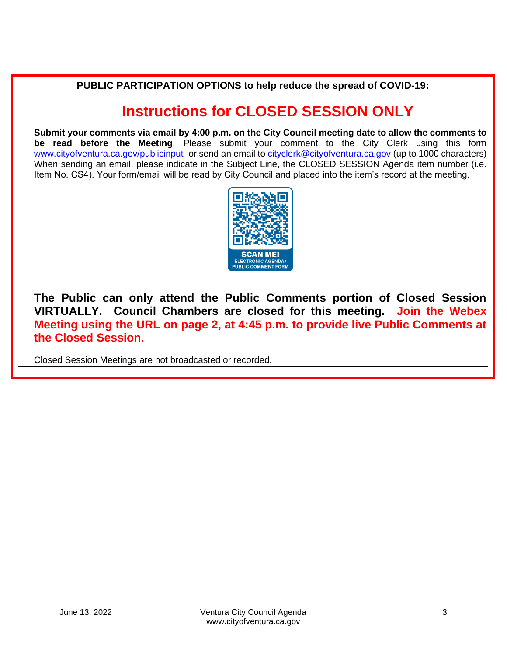**PUBLIC PARTICIPATION OPTIONS to help reduce the spread of COVID-19:**

## **Instructions for CLOSED SESSION ONLY**

**Submit your comments via email by 4:00 p.m. on the City Council meeting date to allow the comments to be read before the Meeting**. Please submit your comment to the City Clerk using this form [www.cityofventura.ca.gov/publicinput](http://www.cityofventura.ca.gov/publicinput) or send an email to [cityclerk@cityofventura.ca.gov](mailto:cityclerk@cityofventura.ca.gov) (up to 1000 characters) When sending an email, please indicate in the Subject Line, the CLOSED SESSION Agenda item number (i.e. Item No. CS4). Your form/email will be read by City Council and placed into the item's record at the meeting.



**The Public can only attend the Public Comments portion of Closed Session VIRTUALLY. Council Chambers are closed for this meeting. Join the Webex Meeting using the URL on page 2, at 4:45 p.m. to provide live Public Comments at the Closed Session.**

Closed Session Meetings are not broadcasted or recorded.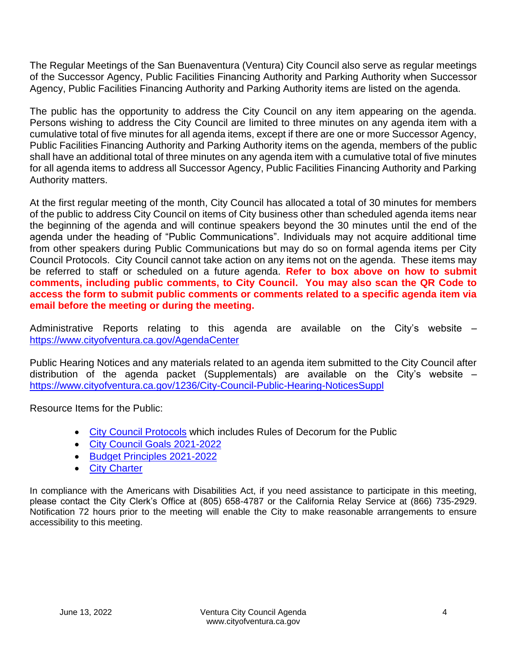The Regular Meetings of the San Buenaventura (Ventura) City Council also serve as regular meetings of the Successor Agency, Public Facilities Financing Authority and Parking Authority when Successor Agency, Public Facilities Financing Authority and Parking Authority items are listed on the agenda.

The public has the opportunity to address the City Council on any item appearing on the agenda. Persons wishing to address the City Council are limited to three minutes on any agenda item with a cumulative total of five minutes for all agenda items, except if there are one or more Successor Agency, Public Facilities Financing Authority and Parking Authority items on the agenda, members of the public shall have an additional total of three minutes on any agenda item with a cumulative total of five minutes for all agenda items to address all Successor Agency, Public Facilities Financing Authority and Parking Authority matters.

At the first regular meeting of the month, City Council has allocated a total of 30 minutes for members of the public to address City Council on items of City business other than scheduled agenda items near the beginning of the agenda and will continue speakers beyond the 30 minutes until the end of the agenda under the heading of "Public Communications". Individuals may not acquire additional time from other speakers during Public Communications but may do so on formal agenda items per City Council Protocols. City Council cannot take action on any items not on the agenda. These items may be referred to staff or scheduled on a future agenda. **Refer to box above on how to submit comments, including public comments, to City Council. You may also scan the QR Code to access the form to submit public comments or comments related to a specific agenda item via email before the meeting or during the meeting.**

Administrative Reports relating to this agenda are available on the City's website – <https://www.cityofventura.ca.gov/AgendaCenter>

Public Hearing Notices and any materials related to an agenda item submitted to the City Council after distribution of the agenda packet (Supplementals) are available on the City's website  $$ <https://www.cityofventura.ca.gov/1236/City-Council-Public-Hearing-NoticesSuppl>

Resource Items for the Public:

- [City Council Protocols](https://www.cityofventura.ca.gov/DocumentCenter/View/7563/City-Council-Protocols) which includes Rules of Decorum for the Public
- [City Council Goals 2021-2022](https://www.cityofventura.ca.gov/DocumentCenter/View/26426/Adopted-City-Council-Goals-2021-2022-02242021)
- [Budget Principles 2021-2022](https://www.cityofventura.ca.gov/DocumentCenter/View/26427/FY-2021-22-Budget-Principles-Adopted-02242021)
- [City Charter](https://library.municode.com/ca/san_buenaventura/codes/code_of_ordinances?nodeId=CH)

In compliance with the Americans with Disabilities Act, if you need assistance to participate in this meeting, please contact the City Clerk's Office at (805) 658-4787 or the California Relay Service at (866) 735-2929. Notification 72 hours prior to the meeting will enable the City to make reasonable arrangements to ensure accessibility to this meeting.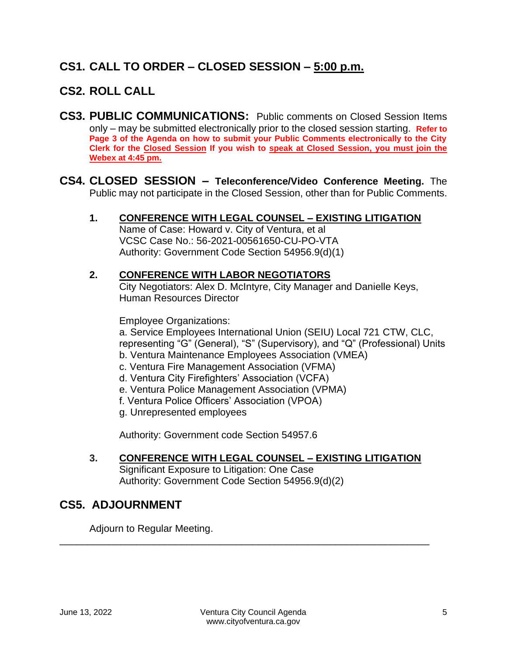## **CS1. CALL TO ORDER – CLOSED SESSION – 5:00 p.m.**

## **CS2. ROLL CALL**

- **CS3. PUBLIC COMMUNICATIONS:** Public comments on Closed Session Items only – may be submitted electronically prior to the closed session starting. **Refer to Page 3 of the Agenda on how to submit your Public Comments electronically to the City Clerk for the Closed Session If you wish to speak at Closed Session, you must join the Webex at 4:45 pm.**
- **CS4. CLOSED SESSION – Teleconference/Video Conference Meeting.** The Public may not participate in the Closed Session, other than for Public Comments.
	- **1. CONFERENCE WITH LEGAL COUNSEL – EXISTING LITIGATION**

Name of Case: Howard v. City of Ventura, et al VCSC Case No.: 56-2021-00561650-CU-PO-VTA Authority: Government Code Section 54956.9(d)(1)

#### **2. CONFERENCE WITH LABOR NEGOTIATORS**

City Negotiators: Alex D. McIntyre, City Manager and Danielle Keys, Human Resources Director

Employee Organizations:

a. Service Employees International Union (SEIU) Local 721 CTW, CLC, representing "G" (General), "S" (Supervisory), and "Q" (Professional) Units b. Ventura Maintenance Employees Association (VMEA)

- c. Ventura Fire Management Association (VFMA)
- d. Ventura City Firefighters' Association (VCFA)
- e. Ventura Police Management Association (VPMA)
- f. Ventura Police Officers' Association (VPOA)
- g. Unrepresented employees

Authority: Government code Section 54957.6

#### **3. CONFERENCE WITH LEGAL COUNSEL – EXISTING LITIGATION**

Significant Exposure to Litigation: One Case Authority: Government Code Section 54956.9(d)(2)

## **CS5. ADJOURNMENT**

Adjourn to Regular Meeting.

\_\_\_\_\_\_\_\_\_\_\_\_\_\_\_\_\_\_\_\_\_\_\_\_\_\_\_\_\_\_\_\_\_\_\_\_\_\_\_\_\_\_\_\_\_\_\_\_\_\_\_\_\_\_\_\_\_\_\_\_\_\_\_\_\_\_\_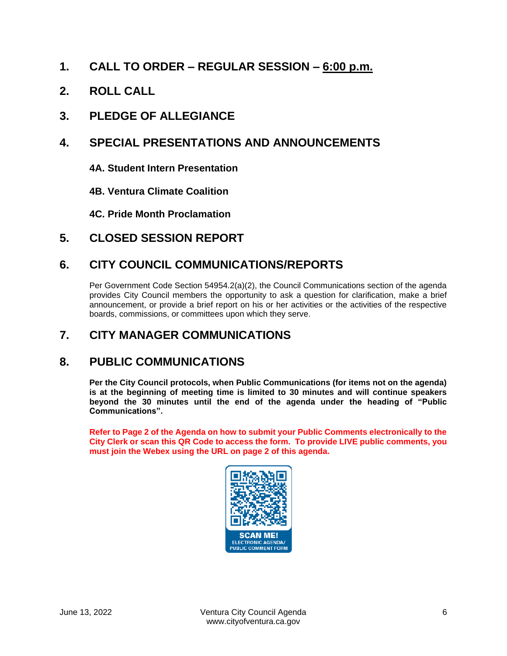- **1. CALL TO ORDER – REGULAR SESSION – 6:00 p.m.**
- **2. ROLL CALL**
- **3. PLEDGE OF ALLEGIANCE**

## **4. SPECIAL PRESENTATIONS AND ANNOUNCEMENTS**

- **4A. Student Intern Presentation**
- **4B. Ventura Climate Coalition**
- **4C. Pride Month Proclamation**
- **5. CLOSED SESSION REPORT**

## **6. CITY COUNCIL COMMUNICATIONS/REPORTS**

Per Government Code Section 54954.2(a)(2), the Council Communications section of the agenda provides City Council members the opportunity to ask a question for clarification, make a brief announcement, or provide a brief report on his or her activities or the activities of the respective boards, commissions, or committees upon which they serve.

## **7. CITY MANAGER COMMUNICATIONS**

## **8. PUBLIC COMMUNICATIONS**

**Per the City Council protocols, when Public Communications (for items not on the agenda) is at the beginning of meeting time is limited to 30 minutes and will continue speakers beyond the 30 minutes until the end of the agenda under the heading of "Public Communications".**

**Refer to Page 2 of the Agenda on how to submit your Public Comments electronically to the City Clerk or scan this QR Code to access the form. To provide LIVE public comments, you must join the Webex using the URL on page 2 of this agenda.**

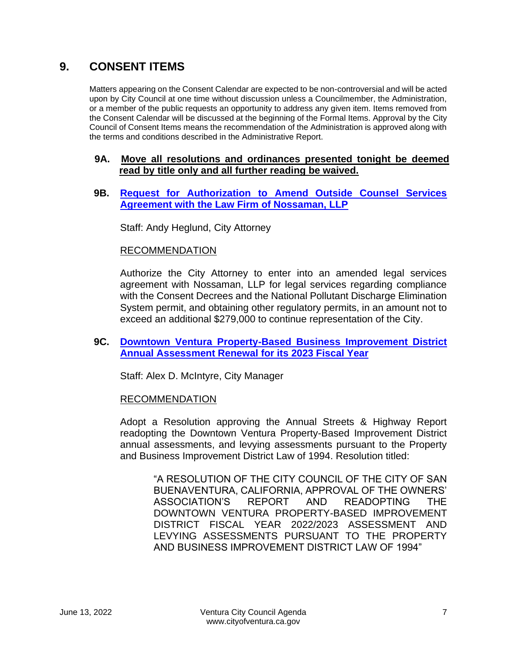## **9. CONSENT ITEMS**

Matters appearing on the Consent Calendar are expected to be non-controversial and will be acted upon by City Council at one time without discussion unless a Councilmember, the Administration, or a member of the public requests an opportunity to address any given item. Items removed from the Consent Calendar will be discussed at the beginning of the Formal Items. Approval by the City Council of Consent Items means the recommendation of the Administration is approved along with the terms and conditions described in the Administrative Report.

#### **9A. Move all resolutions and ordinances presented tonight be deemed read by title only and all further reading be waived.**

**9B. [Request for Authorization to Amend Outside Counsel Services](https://www.cityofventura.ca.gov/DocumentCenter/View/31891/9B)  [Agreement with the Law Firm of Nossaman, LLP](https://www.cityofventura.ca.gov/DocumentCenter/View/31891/9B)**

Staff: Andy Heglund, City Attorney

#### RECOMMENDATION

Authorize the City Attorney to enter into an amended legal services agreement with Nossaman, LLP for legal services regarding compliance with the Consent Decrees and the National Pollutant Discharge Elimination System permit, and obtaining other regulatory permits, in an amount not to exceed an additional \$279,000 to continue representation of the City.

#### **9C. [Downtown Ventura Property-Based Business Improvement District](https://www.cityofventura.ca.gov/DocumentCenter/View/31892/9C)  [Annual Assessment Renewal for its 2023 Fiscal Year](https://www.cityofventura.ca.gov/DocumentCenter/View/31892/9C)**

Staff: Alex D. McIntyre, City Manager

#### RECOMMENDATION

Adopt a Resolution approving the Annual Streets & Highway Report readopting the Downtown Ventura Property-Based Improvement District annual assessments, and levying assessments pursuant to the Property and Business Improvement District Law of 1994. Resolution titled:

> "A RESOLUTION OF THE CITY COUNCIL OF THE CITY OF SAN BUENAVENTURA, CALIFORNIA, APPROVAL OF THE OWNERS' ASSOCIATION'S REPORT AND READOPTING THE DOWNTOWN VENTURA PROPERTY-BASED IMPROVEMENT DISTRICT FISCAL YEAR 2022/2023 ASSESSMENT AND LEVYING ASSESSMENTS PURSUANT TO THE PROPERTY AND BUSINESS IMPROVEMENT DISTRICT LAW OF 1994"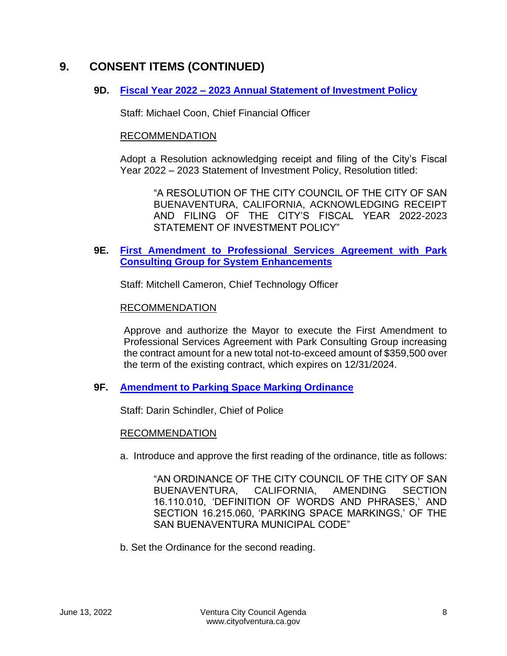#### **9D. Fiscal Year 2022 – [2023 Annual Statement of Investment Policy](https://www.cityofventura.ca.gov/DocumentCenter/View/31893/9D)**

Staff: Michael Coon, Chief Financial Officer

#### RECOMMENDATION

Adopt a Resolution acknowledging receipt and filing of the City's Fiscal Year 2022 – 2023 Statement of Investment Policy, Resolution titled:

"A RESOLUTION OF THE CITY COUNCIL OF THE CITY OF SAN BUENAVENTURA, CALIFORNIA, ACKNOWLEDGING RECEIPT AND FILING OF THE CITY'S FISCAL YEAR 2022-2023 STATEMENT OF INVESTMENT POLICY"

#### **9E. [First Amendment to Professional Services Agreement with Park](https://www.cityofventura.ca.gov/DocumentCenter/View/31894/9E)  Consulting Group [for System Enhancements](https://www.cityofventura.ca.gov/DocumentCenter/View/31894/9E)**

Staff: Mitchell Cameron, Chief Technology Officer

#### RECOMMENDATION

Approve and authorize the Mayor to execute the First Amendment to Professional Services Agreement with Park Consulting Group increasing the contract amount for a new total not-to-exceed amount of \$359,500 over the term of the existing contract, which expires on 12/31/2024.

#### **9F. [Amendment to Parking Space Marking Ordinance](https://www.cityofventura.ca.gov/DocumentCenter/View/31895/9F)**

Staff: Darin Schindler, Chief of Police

#### RECOMMENDATION

a. Introduce and approve the first reading of the ordinance, title as follows:

"AN ORDINANCE OF THE CITY COUNCIL OF THE CITY OF SAN BUENAVENTURA, CALIFORNIA, AMENDING SECTION 16.110.010, 'DEFINITION OF WORDS AND PHRASES,' AND SECTION 16.215.060, 'PARKING SPACE MARKINGS,' OF THE SAN BUENAVENTURA MUNICIPAL CODE"

b. Set the Ordinance for the second reading.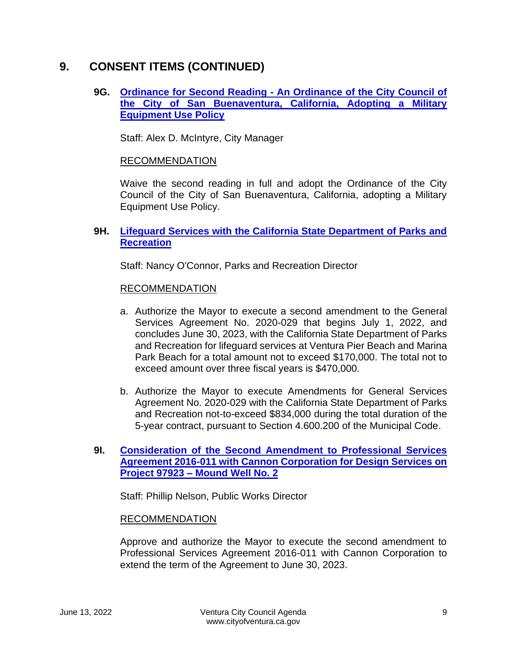#### **9G. Ordinance for Second Reading - [An Ordinance of the City Council of](https://www.cityofventura.ca.gov/DocumentCenter/View/31896/9G)  [the City of San Buenaventura, California, Adopting a Military](https://www.cityofventura.ca.gov/DocumentCenter/View/31896/9G)  [Equipment Use Policy](https://www.cityofventura.ca.gov/DocumentCenter/View/31896/9G)**

Staff: Alex D. McIntyre, City Manager

#### RECOMMENDATION

Waive the second reading in full and adopt the Ordinance of the City Council of the City of San Buenaventura, California, adopting a Military Equipment Use Policy.

#### **9H. [Lifeguard Services with the California State Department of Parks and](https://www.cityofventura.ca.gov/DocumentCenter/View/31897/9H)  [Recreation](https://www.cityofventura.ca.gov/DocumentCenter/View/31897/9H)**

Staff: Nancy O'Connor, Parks and Recreation Director

#### RECOMMENDATION

- a. Authorize the Mayor to execute a second amendment to the General Services Agreement No. 2020-029 that begins July 1, 2022, and concludes June 30, 2023, with the California State Department of Parks and Recreation for lifeguard services at Ventura Pier Beach and Marina Park Beach for a total amount not to exceed \$170,000. The total not to exceed amount over three fiscal years is \$470,000.
- b. Authorize the Mayor to execute Amendments for General Services Agreement No. 2020-029 with the California State Department of Parks and Recreation not-to-exceed \$834,000 during the total duration of the 5-year contract, pursuant to Section 4.600.200 of the Municipal Code.

#### **9I. [Consideration of the Second Amendment to Professional Services](https://www.cityofventura.ca.gov/DocumentCenter/View/31904/9I)  [Agreement 2016-011 with Cannon Corporation for Design Services on](https://www.cityofventura.ca.gov/DocumentCenter/View/31904/9I)  Project 97923 – [Mound Well No. 2](https://www.cityofventura.ca.gov/DocumentCenter/View/31904/9I)**

Staff: Phillip Nelson, Public Works Director

#### RECOMMENDATION

Approve and authorize the Mayor to execute the second amendment to Professional Services Agreement 2016-011 with Cannon Corporation to extend the term of the Agreement to June 30, 2023.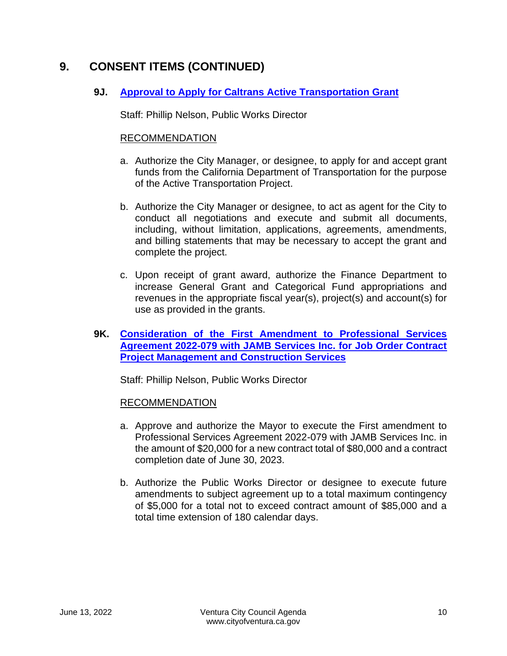#### **9J. [Approval to Apply for Caltrans Active Transportation Grant](https://www.cityofventura.ca.gov/DocumentCenter/View/31898/9J)**

Staff: Phillip Nelson, Public Works Director

#### RECOMMENDATION

- a. Authorize the City Manager, or designee, to apply for and accept grant funds from the California Department of Transportation for the purpose of the Active Transportation Project.
- b. Authorize the City Manager or designee, to act as agent for the City to conduct all negotiations and execute and submit all documents, including, without limitation, applications, agreements, amendments, and billing statements that may be necessary to accept the grant and complete the project.
- c. Upon receipt of grant award, authorize the Finance Department to increase General Grant and Categorical Fund appropriations and revenues in the appropriate fiscal year(s), project(s) and account(s) for use as provided in the grants.
- **9K. [Consideration of the First Amendment to Professional Services](https://www.cityofventura.ca.gov/DocumentCenter/View/31907/9K)  [Agreement 2022-079 with JAMB Services Inc. for Job Order Contract](https://www.cityofventura.ca.gov/DocumentCenter/View/31907/9K)  [Project Management and Construction Services](https://www.cityofventura.ca.gov/DocumentCenter/View/31907/9K)**

Staff: Phillip Nelson, Public Works Director

#### RECOMMENDATION

- a. Approve and authorize the Mayor to execute the First amendment to Professional Services Agreement 2022-079 with JAMB Services Inc. in the amount of \$20,000 for a new contract total of \$80,000 and a contract completion date of June 30, 2023.
- b. Authorize the Public Works Director or designee to execute future amendments to subject agreement up to a total maximum contingency of \$5,000 for a total not to exceed contract amount of \$85,000 and a total time extension of 180 calendar days.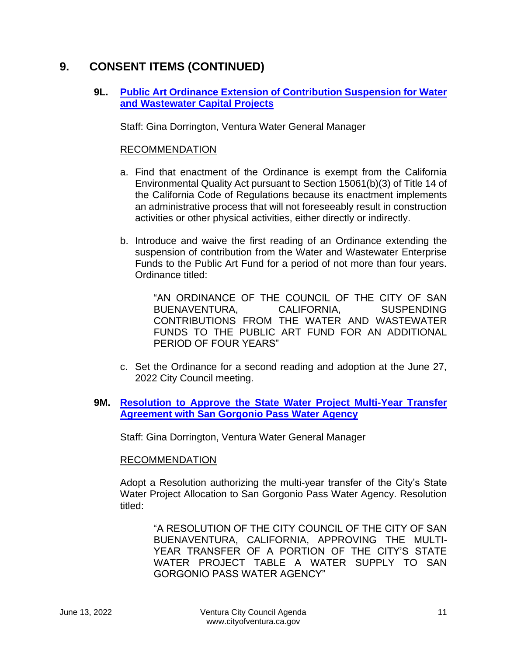#### **9L. [Public Art Ordinance Extension of Contribution Suspension for Water](https://www.cityofventura.ca.gov/DocumentCenter/View/31899/9L)  [and Wastewater Capital Projects](https://www.cityofventura.ca.gov/DocumentCenter/View/31899/9L)**

Staff: Gina Dorrington, Ventura Water General Manager

#### RECOMMENDATION

- a. Find that enactment of the Ordinance is exempt from the California Environmental Quality Act pursuant to Section 15061(b)(3) of Title 14 of the California Code of Regulations because its enactment implements an administrative process that will not foreseeably result in construction activities or other physical activities, either directly or indirectly.
- b. Introduce and waive the first reading of an Ordinance extending the suspension of contribution from the Water and Wastewater Enterprise Funds to the Public Art Fund for a period of not more than four years. Ordinance titled:

"AN ORDINANCE OF THE COUNCIL OF THE CITY OF SAN BUENAVENTURA, CALIFORNIA, SUSPENDING CONTRIBUTIONS FROM THE WATER AND WASTEWATER FUNDS TO THE PUBLIC ART FUND FOR AN ADDITIONAL PERIOD OF FOUR YEARS"

c. Set the Ordinance for a second reading and adoption at the June 27, 2022 City Council meeting.

#### **9M. [Resolution to Approve the State Water Project Multi-Year Transfer](https://www.cityofventura.ca.gov/DocumentCenter/View/31900/9M)  [Agreement with San Gorgonio Pass Water Agency](https://www.cityofventura.ca.gov/DocumentCenter/View/31900/9M)**

Staff: Gina Dorrington, Ventura Water General Manager

#### RECOMMENDATION

Adopt a Resolution authorizing the multi-year transfer of the City's State Water Project Allocation to San Gorgonio Pass Water Agency. Resolution titled:

"A RESOLUTION OF THE CITY COUNCIL OF THE CITY OF SAN BUENAVENTURA, CALIFORNIA, APPROVING THE MULTI-YEAR TRANSFER OF A PORTION OF THE CITY'S STATE WATER PROJECT TABLE A WATER SUPPLY TO SAN GORGONIO PASS WATER AGENCY"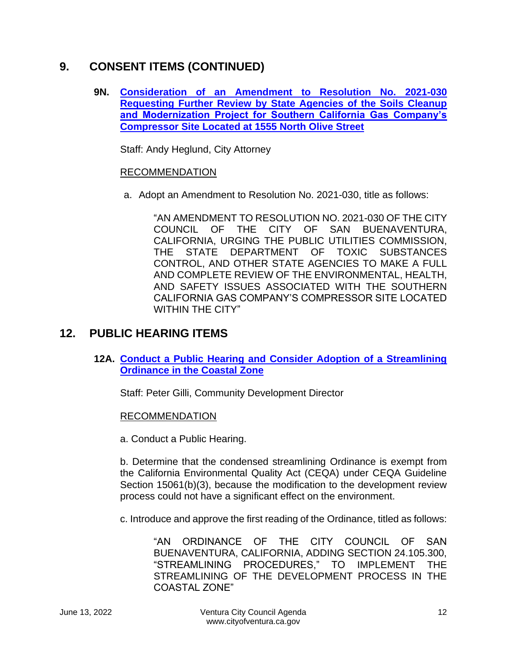**9N. [Consideration of an Amendment to](https://www.cityofventura.ca.gov/DocumentCenter/View/31927/9N) Resolution No. 2021-030 [Requesting Further Review by State Agencies of the Soils Cleanup](https://www.cityofventura.ca.gov/DocumentCenter/View/31927/9N)  [and Modernization Project for Southern California Gas Company's](https://www.cityofventura.ca.gov/DocumentCenter/View/31927/9N)  [Compressor Site Located at 1555 North Olive Street](https://www.cityofventura.ca.gov/DocumentCenter/View/31927/9N)**

Staff: Andy Heglund, City Attorney

#### RECOMMENDATION

a. Adopt an Amendment to Resolution No. 2021-030, title as follows:

"AN AMENDMENT TO RESOLUTION NO. 2021-030 OF THE CITY COUNCIL OF THE CITY OF SAN BUENAVENTURA, CALIFORNIA, URGING THE PUBLIC UTILITIES COMMISSION, THE STATE DEPARTMENT OF TOXIC SUBSTANCES CONTROL, AND OTHER STATE AGENCIES TO MAKE A FULL AND COMPLETE REVIEW OF THE ENVIRONMENTAL, HEALTH, AND SAFETY ISSUES ASSOCIATED WITH THE SOUTHERN CALIFORNIA GAS COMPANY'S COMPRESSOR SITE LOCATED WITHIN THE CITY"

## **12. PUBLIC HEARING ITEMS**

**12A. [Conduct a Public Hearing and Consider Adoption of a Streamlining](https://www.cityofventura.ca.gov/DocumentCenter/View/31901/12A)  [Ordinance in the Coastal Zone](https://www.cityofventura.ca.gov/DocumentCenter/View/31901/12A)**

Staff: Peter Gilli, Community Development Director

#### RECOMMENDATION

a. Conduct a Public Hearing.

b. Determine that the condensed streamlining Ordinance is exempt from the California Environmental Quality Act (CEQA) under CEQA Guideline Section 15061(b)(3), because the modification to the development review process could not have a significant effect on the environment.

c. Introduce and approve the first reading of the Ordinance, titled as follows:

"AN ORDINANCE OF THE CITY COUNCIL OF SAN BUENAVENTURA, CALIFORNIA, ADDING SECTION 24.105.300, "STREAMLINING PROCEDURES," TO IMPLEMENT THE STREAMLINING OF THE DEVELOPMENT PROCESS IN THE COASTAL ZONE"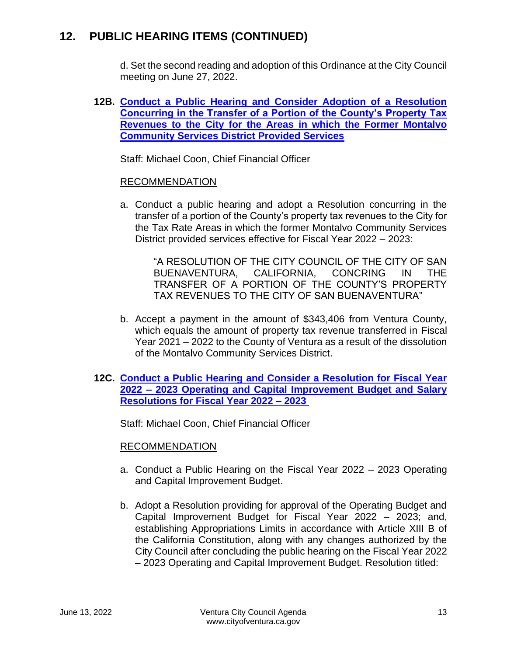## **12. PUBLIC HEARING ITEMS (CONTINUED)**

d. Set the second reading and adoption of this Ordinance at the City Council meeting on June 27, 2022.

**12B. [Conduct a Public Hearing and Consider Adoption of a Resolution](https://www.cityofventura.ca.gov/DocumentCenter/View/31902/12B)  [Concurring in the Transfer of a Portion of the County's Property Tax](https://www.cityofventura.ca.gov/DocumentCenter/View/31902/12B)  [Revenues to the City for the Areas in which the Former Montalvo](https://www.cityofventura.ca.gov/DocumentCenter/View/31902/12B)  [Community Services District Provided Services](https://www.cityofventura.ca.gov/DocumentCenter/View/31902/12B)**

Staff: Michael Coon, Chief Financial Officer

#### RECOMMENDATION

a. Conduct a public hearing and adopt a Resolution concurring in the transfer of a portion of the County's property tax revenues to the City for the Tax Rate Areas in which the former Montalvo Community Services District provided services effective for Fiscal Year 2022 – 2023:

"A RESOLUTION OF THE CITY COUNCIL OF THE CITY OF SAN BUENAVENTURA, CALIFORNIA, CONCRING IN THE TRANSFER OF A PORTION OF THE COUNTY'S PROPERTY TAX REVENUES TO THE CITY OF SAN BUENAVENTURA"

b. Accept a payment in the amount of \$343,406 from Ventura County, which equals the amount of property tax revenue transferred in Fiscal Year 2021 – 2022 to the County of Ventura as a result of the dissolution of the Montalvo Community Services District.

#### **12C. [Conduct a Public Hearing and Consider a Resolution for Fiscal Year](https://www.cityofventura.ca.gov/DocumentCenter/View/31905/12C)  2022 – [2023 Operating and Capital Improvement Budget and Salary](https://www.cityofventura.ca.gov/DocumentCenter/View/31905/12C)  [Resolutions for Fiscal Year 2022 –](https://www.cityofventura.ca.gov/DocumentCenter/View/31905/12C) 2023**

Staff: Michael Coon, Chief Financial Officer

#### RECOMMENDATION

- a. Conduct a Public Hearing on the Fiscal Year 2022 2023 Operating and Capital Improvement Budget.
- b. Adopt a Resolution providing for approval of the Operating Budget and Capital Improvement Budget for Fiscal Year 2022 – 2023; and, establishing Appropriations Limits in accordance with Article XIII B of the California Constitution, along with any changes authorized by the City Council after concluding the public hearing on the Fiscal Year 2022 – 2023 Operating and Capital Improvement Budget. Resolution titled: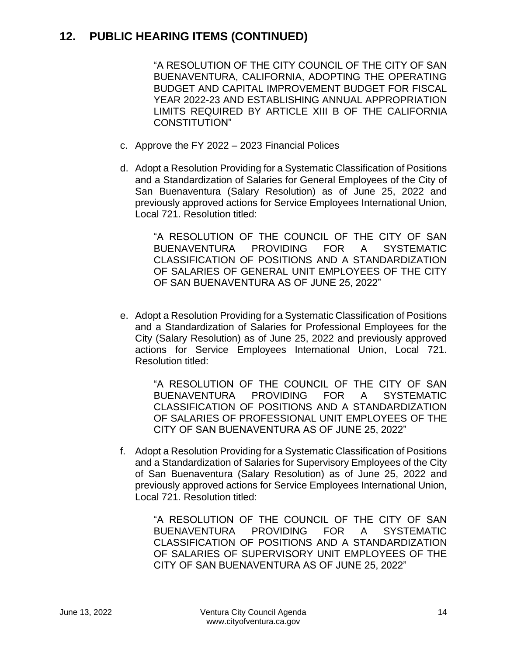## **12. PUBLIC HEARING ITEMS (CONTINUED)**

"A RESOLUTION OF THE CITY COUNCIL OF THE CITY OF SAN BUENAVENTURA, CALIFORNIA, ADOPTING THE OPERATING BUDGET AND CAPITAL IMPROVEMENT BUDGET FOR FISCAL YEAR 2022-23 AND ESTABLISHING ANNUAL APPROPRIATION LIMITS REQUIRED BY ARTICLE XIII B OF THE CALIFORNIA CONSTITUTION"

- c. Approve the FY 2022 2023 Financial Polices
- d. Adopt a Resolution Providing for a Systematic Classification of Positions and a Standardization of Salaries for General Employees of the City of San Buenaventura (Salary Resolution) as of June 25, 2022 and previously approved actions for Service Employees International Union, Local 721. Resolution titled:

"A RESOLUTION OF THE COUNCIL OF THE CITY OF SAN BUENAVENTURA PROVIDING FOR A SYSTEMATIC CLASSIFICATION OF POSITIONS AND A STANDARDIZATION OF SALARIES OF GENERAL UNIT EMPLOYEES OF THE CITY OF SAN BUENAVENTURA AS OF JUNE 25, 2022"

e. Adopt a Resolution Providing for a Systematic Classification of Positions and a Standardization of Salaries for Professional Employees for the City (Salary Resolution) as of June 25, 2022 and previously approved actions for Service Employees International Union, Local 721. Resolution titled:

> "A RESOLUTION OF THE COUNCIL OF THE CITY OF SAN BUENAVENTURA PROVIDING FOR A SYSTEMATIC CLASSIFICATION OF POSITIONS AND A STANDARDIZATION OF SALARIES OF PROFESSIONAL UNIT EMPLOYEES OF THE CITY OF SAN BUENAVENTURA AS OF JUNE 25, 2022"

f. Adopt a Resolution Providing for a Systematic Classification of Positions and a Standardization of Salaries for Supervisory Employees of the City of San Buenaventura (Salary Resolution) as of June 25, 2022 and previously approved actions for Service Employees International Union, Local 721. Resolution titled:

> "A RESOLUTION OF THE COUNCIL OF THE CITY OF SAN BUENAVENTURA PROVIDING FOR A SYSTEMATIC CLASSIFICATION OF POSITIONS AND A STANDARDIZATION OF SALARIES OF SUPERVISORY UNIT EMPLOYEES OF THE CITY OF SAN BUENAVENTURA AS OF JUNE 25, 2022"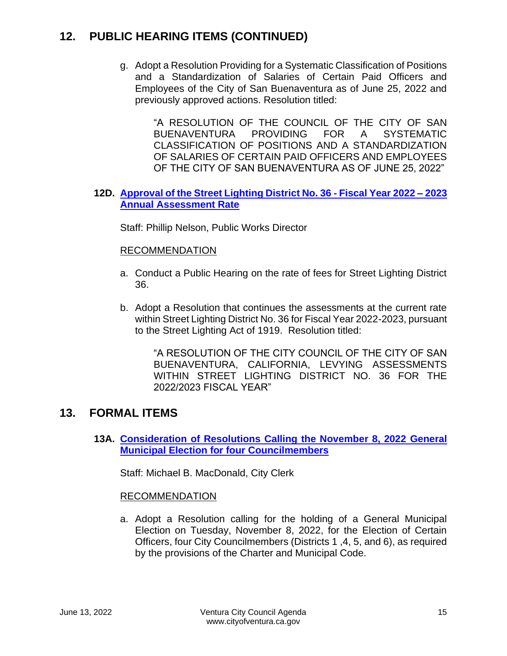## **12. PUBLIC HEARING ITEMS (CONTINUED)**

g. Adopt a Resolution Providing for a Systematic Classification of Positions and a Standardization of Salaries of Certain Paid Officers and Employees of the City of San Buenaventura as of June 25, 2022 and previously approved actions. Resolution titled:

> "A RESOLUTION OF THE COUNCIL OF THE CITY OF SAN BUENAVENTURA PROVIDING FOR A SYSTEMATIC CLASSIFICATION OF POSITIONS AND A STANDARDIZATION OF SALARIES OF CERTAIN PAID OFFICERS AND EMPLOYEES OF THE CITY OF SAN BUENAVENTURA AS OF JUNE 25, 2022"

#### **12D. [Approval of the Street Lighting District No. 36 -](https://www.cityofventura.ca.gov/DocumentCenter/View/31906/12D) Fiscal Year 2022 – 2023 [Annual Assessment Rate](https://www.cityofventura.ca.gov/DocumentCenter/View/31906/12D)**

Staff: Phillip Nelson, Public Works Director

#### RECOMMENDATION

- a. Conduct a Public Hearing on the rate of fees for Street Lighting District 36.
- b. Adopt a Resolution that continues the assessments at the current rate within Street Lighting District No. 36 for Fiscal Year 2022-2023, pursuant to the Street Lighting Act of 1919. Resolution titled:

"A RESOLUTION OF THE CITY COUNCIL OF THE CITY OF SAN BUENAVENTURA, CALIFORNIA, LEVYING ASSESSMENTS WITHIN STREET LIGHTING DISTRICT NO. 36 FOR THE 2022/2023 FISCAL YEAR"

## **13. FORMAL ITEMS**

**13A. [Consideration of Resolutions Calling the November 8, 2022](https://www.cityofventura.ca.gov/DocumentCenter/View/31903/13A) General [Municipal Election for four Councilmembers](https://www.cityofventura.ca.gov/DocumentCenter/View/31903/13A)**

Staff: Michael B. MacDonald, City Clerk

#### RECOMMENDATION

a. Adopt a Resolution calling for the holding of a General Municipal Election on Tuesday, November 8, 2022, for the Election of Certain Officers, four City Councilmembers (Districts 1 ,4, 5, and 6), as required by the provisions of the Charter and Municipal Code.